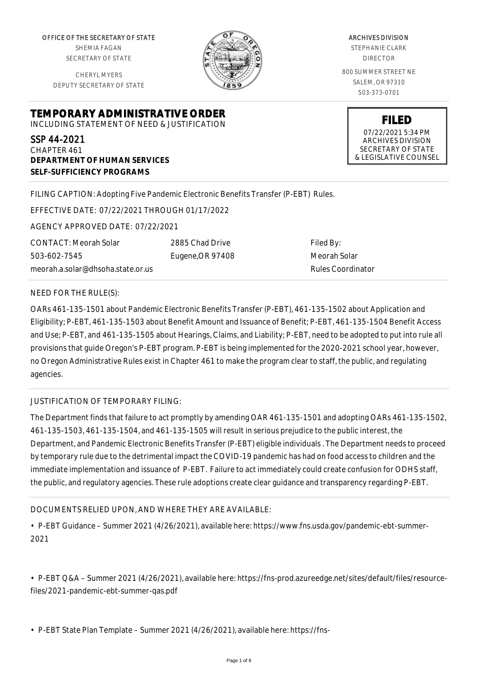OFFICE OF THE SECRETARY OF STATE SHEMIA FAGAN SECRETARY OF STATE

CHERYL MYERS DEPUTY SECRETARY OF STATE

**DEPARTMENT OF HUMAN SERVICES**

**SELF-SUFFICIENCY PROGRAMS**



ARCHIVES DIVISION STEPHANIE CLARK DIRECTOR 800 SUMMER STREET NE SALEM, OR 97310 503-373-0701

**FILED**

07/22/2021 5:34 PM ARCHIVES DIVISION SECRETARY OF STATE & LEGISLATIVE COUNSEL

FILING CAPTION: Adopting Five Pandemic Electronic Benefits Transfer (P-EBT) Rules.

EFFECTIVE DATE: 07/22/2021 THROUGH 01/17/2022

**TEMPORARY ADMINISTRATIVE ORDER** INCLUDING STATEMENT OF NEED & JUSTIFICATION

AGENCY APPROVED DATE: 07/22/2021

CONTACT: Meorah Solar 503-602-7545 meorah.a.solar@dhsoha.state.or.us 2885 Chad Drive Eugene,OR 97408

Filed By: Meorah Solar Rules Coordinator

#### NEED FOR THE RULE(S):

SSP 44-2021 CHAPTER 461

OARs 461-135-1501 about Pandemic Electronic Benefits Transfer (P-EBT), 461-135-1502 about Application and Eligibility; P-EBT, 461-135-1503 about Benefit Amount and Issuance of Benefit; P-EBT, 461-135-1504 Benefit Access and Use; P-EBT, and 461-135-1505 about Hearings, Claims, and Liability; P-EBT, need to be adopted to put into rule all provisions that guide Oregon's P-EBT program. P-EBT is being implemented for the 2020-2021 school year, however, no Oregon Administrative Rules exist in Chapter 461 to make the program clear to staff, the public, and regulating agencies.

## JUSTIFICATION OF TEMPORARY FILING:

The Department finds that failure to act promptly by amending OAR 461-135-1501 and adopting OARs 461-135-1502, 461-135-1503, 461-135-1504, and 461-135-1505 will result in serious prejudice to the public interest, the Department, and Pandemic Electronic Benefits Transfer (P-EBT) eligible individuals . The Department needs to proceed by temporary rule due to the detrimental impact the COVID-19 pandemic has had on food access to children and the immediate implementation and issuance of P-EBT. Failure to act immediately could create confusion for ODHS staff, the public, and regulatory agencies. These rule adoptions create clear guidance and transparency regarding P-EBT.

DOCUMENTS RELIED UPON, AND WHERE THEY ARE AVAILABLE:

• P-EBT Guidance – Summer 2021 (4/26/2021), available here: https://www.fns.usda.gov/pandemic-ebt-summer-2021

• P-EBT Q&A – Summer 2021 (4/26/2021), available here: https://fns-prod.azureedge.net/sites/default/files/resourcefiles/2021-pandemic-ebt-summer-qas.pdf

• P-EBT State Plan Template – Summer 2021 (4/26/2021), available here: https://fns-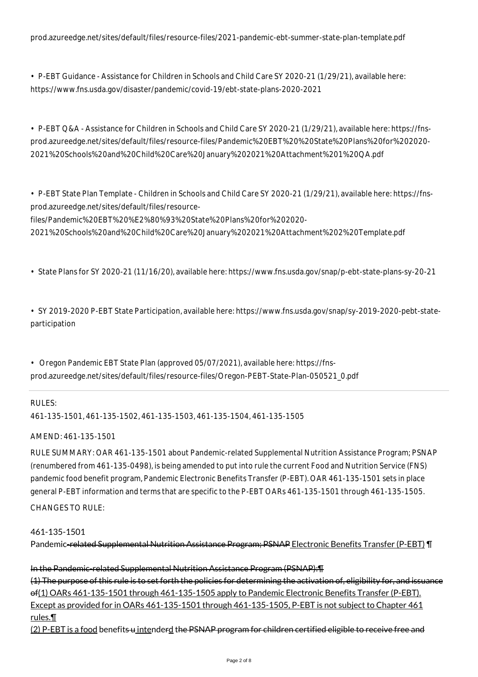prod.azureedge.net/sites/default/files/resource-files/2021-pandemic-ebt-summer-state-plan-template.pdf

• P-EBT Guidance - Assistance for Children in Schools and Child Care SY 2020-21 (1/29/21), available here: https://www.fns.usda.gov/disaster/pandemic/covid-19/ebt-state-plans-2020-2021

• P-EBT Q&A - Assistance for Children in Schools and Child Care SY 2020-21 (1/29/21), available here: https://fnsprod.azureedge.net/sites/default/files/resource-files/Pandemic%20EBT%20%20State%20Plans%20for%202020- 2021%20Schools%20and%20Child%20Care%20January%202021%20Attachment%201%20QA.pdf

• P-EBT State Plan Template - Children in Schools and Child Care SY 2020-21 (1/29/21), available here: https://fnsprod.azureedge.net/sites/default/files/resource-

files/Pandemic%20EBT%20%E2%80%93%20State%20Plans%20for%202020-

2021%20Schools%20and%20Child%20Care%20January%202021%20Attachment%202%20Template.pdf

• State Plans for SY 2020-21 (11/16/20), available here: https://www.fns.usda.gov/snap/p-ebt-state-plans-sy-20-21

• SY 2019-2020 P-EBT State Participation, available here: https://www.fns.usda.gov/snap/sy-2019-2020-pebt-stateparticipation

• Oregon Pandemic EBT State Plan (approved 05/07/2021), available here: https://fnsprod.azureedge.net/sites/default/files/resource-files/Oregon-PEBT-State-Plan-050521\_0.pdf

## RULES:

461-135-1501, 461-135-1502, 461-135-1503, 461-135-1504, 461-135-1505

## AMEND: 461-135-1501

RULE SUMMARY: OAR 461-135-1501 about Pandemic-related Supplemental Nutrition Assistance Program; PSNAP (renumbered from 461-135-0498), is being amended to put into rule the current Food and Nutrition Service (FNS) pandemic food benefit program, Pandemic Electronic Benefits Transfer (P-EBT). OAR 461-135-1501 sets in place general P-EBT information and terms that are specific to the P-EBT OARs 461-135-1501 through 461-135-1505. CHANGES TO RULE:

#### 461-135-1501

Pandemic-related Supplemental Nutrition Assistance Program; PSNAP Electronic Benefits Transfer (P-EBT) ¶

In the Pandemic-related Supplemental Nutrition Assistance Program (PSNAP):¶ (1) The purpose of this rule is to set forth the policies for determining the activation of, eligibility for, and issuance of(1) OARs 461-135-1501 through 461-135-1505 apply to Pandemic Electronic Benefits Transfer (P-EBT). Except as provided for in OARs 461-135-1501 through 461-135-1505, P-EBT is not subject to Chapter 461 rules.¶ (2) P-EBT is a food benefits u intenderd the PSNAP program for children certified eligible to receive free and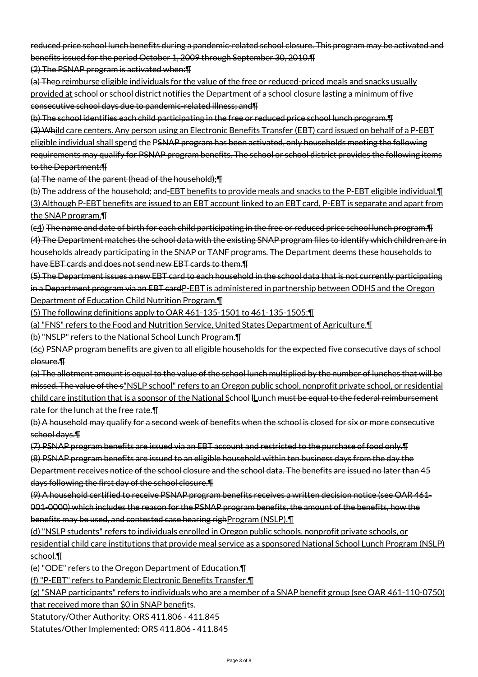reduced price school lunch benefits during a pandemic-related school closure. This program may be activated and benefits issued for the period October 1, 2009 through September 30, 2010.¶

(2) The PSNAP program is activated when:¶

(a) Theo reimburse eligible individuals for the value of the free or reduced-priced meals and snacks usually provided at school or school district notifies the Department of a school closure lasting a minimum of five consecutive school days due to pandemic-related illness; and¶

(b) The school identifies each child participating in the free or reduced price school lunch program.¶

(3) Whild care centers. Any person using an Electronic Benefits Transfer (EBT) card issued on behalf of a P-EBT eligible individual shall spend the PSNAP program has been activated, only households meeting the following requirements may qualify for PSNAP program benefits. The school or school district provides the following items to the Department:¶

(a) The name of the parent (head of the household);¶

(b) The address of the household; and-EBT benefits to provide meals and snacks to the P-EBT eligible individual.¶ (3) Although P-EBT benefits are issued to an EBT account linked to an EBT card, P-EBT is separate and apart from the SNAP program.¶

(c4) The name and date of birth for each child participating in the free or reduced price school lunch program.¶ (4) The Department matches the school data with the existing SNAP program files to identify which children are in households already participating in the SNAP or TANF programs. The Department deems these households to have EBT cards and does not send new EBT cards to them.¶

(5) The Department issues a new EBT card to each household in the school data that is not currently participating in a Department program via an EBT cardP-EBT is administered in partnership between ODHS and the Oregon Department of Education Child Nutrition Program.¶

(5) The following definitions apply to OAR 461-135-1501 to 461-135-1505:¶

(a) "FNS" refers to the Food and Nutrition Service, United States Department of Agriculture.¶

(b) "NSLP" refers to the National School Lunch Program.¶

(6c) PSNAP program benefits are given to all eligible households for the expected five consecutive days of school closure.¶

(a) The allotment amount is equal to the value of the school lunch multiplied by the number of lunches that will be missed. The value of the s"NSLP school" refers to an Oregon public school, nonprofit private school, or residential child care institution that is a sponsor of the National School ILunch must be equal to the federal reimbursement rate for the lunch at the free rate.¶

(b) A household may qualify for a second week of benefits when the school is closed for six or more consecutive school days.¶

(7) PSNAP program benefits are issued via an EBT account and restricted to the purchase of food only.¶ (8) PSNAP program benefits are issued to an eligible household within ten business days from the day the Department receives notice of the school closure and the school data. The benefits are issued no later than 45 days following the first day of the school closure.¶

(9) A household certified to receive PSNAP program benefits receives a written decision notice (see OAR 461- 001-0000) which includes the reason for the PSNAP program benefits, the amount of the benefits, how the benefits may be used, and contested case hearing righ Program (NSLP).

(d) "NSLP students" refers to individuals enrolled in Oregon public schools, nonprofit private schools, or residential child care institutions that provide meal service as a sponsored National School Lunch Program (NSLP) school.¶

(e) "ODE" refers to the Oregon Department of Education.¶

(f) "P-EBT" refers to Pandemic Electronic Benefits Transfer.¶

(g) "SNAP participants" refers to individuals who are a member of a SNAP benefit group (see OAR 461-110-0750) that received more than \$0 in SNAP benefits.

Statutory/Other Authority: ORS 411.806 - 411.845

Statutes/Other Implemented: ORS 411.806 - 411.845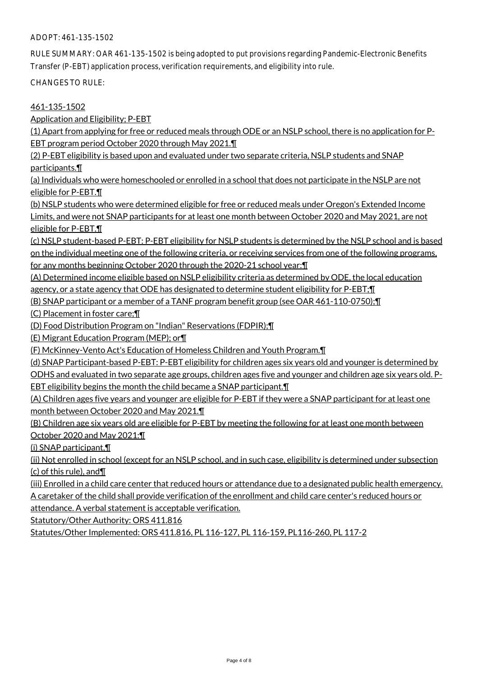RULE SUMMARY: OAR 461-135-1502 is being adopted to put provisions regarding Pandemic-Electronic Benefits Transfer (P-EBT) application process, verification requirements, and eligibility into rule.

CHANGES TO RULE:

## 461-135-1502

Application and Eligibility; P-EBT

(1) Apart from applying for free or reduced meals through ODE or an NSLP school, there is no application for P-EBT program period October 2020 through May 2021.¶

(2) P-EBT eligibility is based upon and evaluated under two separate criteria, NSLP students and SNAP participants.¶

(a) Individuals who were homeschooled or enrolled in a school that does not participate in the NSLP are not eligible for P-EBT.¶

(b) NSLP students who were determined eligible for free or reduced meals under Oregon's Extended Income Limits, and were not SNAP participants for at least one month between October 2020 and May 2021, are not eligible for P-EBT.¶

(c) NSLP student-based P-EBT: P-EBT eligibility for NSLP students is determined by the NSLP school and is based on the individual meeting one of the following criteria, or receiving services from one of the following programs, for any months beginning October 2020 through the 2020-21 school year:¶

(A) Determined income eligible based on NSLP eligibility criteria as determined by ODE, the local education agency, or a state agency that ODE has designated to determine student eligibility for P-EBT; [1]

(B) SNAP participant or a member of a TANF program benefit group (see OAR 461-110-0750);¶

(C) Placement in foster care;¶

(D) Food Distribution Program on "Indian" Reservations (FDPIR);¶

(E) Migrant Education Program (MEP); or¶

(F) McKinney-Vento Act's Education of Homeless Children and Youth Program.¶

(d) SNAP Participant-based P-EBT: P-EBT eligibility for children ages six years old and younger is determined by

ODHS and evaluated in two separate age groups, children ages five and younger and children age six years old. P-EBT eligibility begins the month the child became a SNAP participant.¶

(A) Children ages five years and younger are eligible for P-EBT if they were a SNAP participant for at least one month between October 2020 and May 2021.¶

(B) Children age six years old are eligible for P-EBT by meeting the following for at least one month between October 2020 and May 2021:¶

(i) SNAP participant,¶

(ii) Not enrolled in school (except for an NSLP school, and in such case, eligibility is determined under subsection (c) of this rule), and¶

(iii) Enrolled in a child care center that reduced hours or attendance due to a designated public health emergency. A caretaker of the child shall provide verification of the enrollment and child care center's reduced hours or

attendance. A verbal statement is acceptable verification.

Statutory/Other Authority: ORS 411.816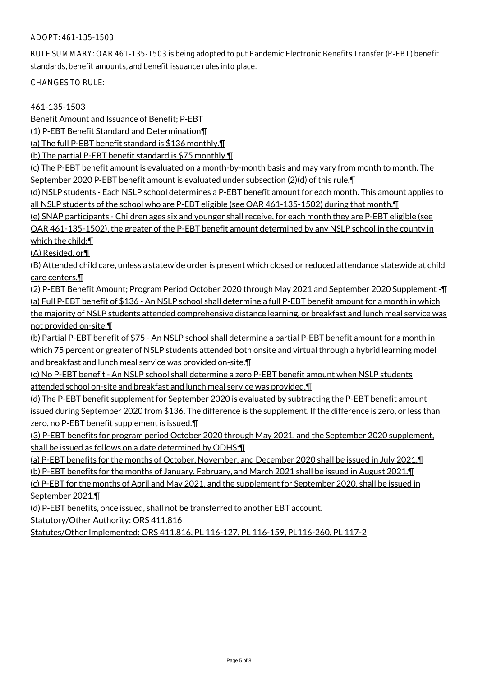RULE SUMMARY: OAR 461-135-1503 is being adopted to put Pandemic Electronic Benefits Transfer (P-EBT) benefit standards, benefit amounts, and benefit issuance rules into place.

CHANGES TO RULE:

461-135-1503

Benefit Amount and Issuance of Benefit; P-EBT

(1) P-EBT Benefit Standard and Determination¶

(a) The full P-EBT benefit standard is \$136 monthly.¶

(b) The partial P-EBT benefit standard is \$75 monthly.¶

(c) The P-EBT benefit amount is evaluated on a month-by-month basis and may vary from month to month. The September 2020 P-EBT benefit amount is evaluated under subsection (2)(d) of this rule.

(d) NSLP students - Each NSLP school determines a P-EBT benefit amount for each month. This amount applies to all NSLP students of the school who are P-EBT eligible (see OAR 461-135-1502) during that month. I

(e) SNAP participants - Children ages six and younger shall receive, for each month they are P-EBT eligible (see OAR 461-135-1502), the greater of the P-EBT benefit amount determined by any NSLP school in the county in

which the child:¶

(A) Resided, or¶

(B) Attended child care, unless a statewide order is present which closed or reduced attendance statewide at child care centers.¶

(2) P-EBT Benefit Amount; Program Period October 2020 through May 2021 and September 2020 Supplement -¶ (a) Full P-EBT benefit of \$136 - An NSLP school shall determine a full P-EBT benefit amount for a month in which the majority of NSLP students attended comprehensive distance learning, or breakfast and lunch meal service was not provided on-site.¶

(b) Partial P-EBT benefit of \$75 - An NSLP school shall determine a partial P-EBT benefit amount for a month in which 75 percent or greater of NSLP students attended both onsite and virtual through a hybrid learning model and breakfast and lunch meal service was provided on-site.¶

(c) No P-EBT benefit - An NSLP school shall determine a zero P-EBT benefit amount when NSLP students attended school on-site and breakfast and lunch meal service was provided.¶

(d) The P-EBT benefit supplement for September 2020 is evaluated by subtracting the P-EBT benefit amount issued during September 2020 from \$136. The difference is the supplement. If the difference is zero, or less than zero, no P-EBT benefit supplement is issued.

(3) P-EBT benefits for program period October 2020 through May 2021, and the September 2020 supplement, shall be issued as follows on a date determined by ODHS:¶

(a) P-EBT benefits for the months of October, November, and December 2020 shall be issued in July 2021.¶

(b) P-EBT benefits for the months of January, February, and March 2021 shall be issued in August 2021.¶

(c) P-EBT for the months of April and May 2021, and the supplement for September 2020, shall be issued in September 2021.¶

(d) P-EBT benefits, once issued, shall not be transferred to another EBT account.

Statutory/Other Authority: ORS 411.816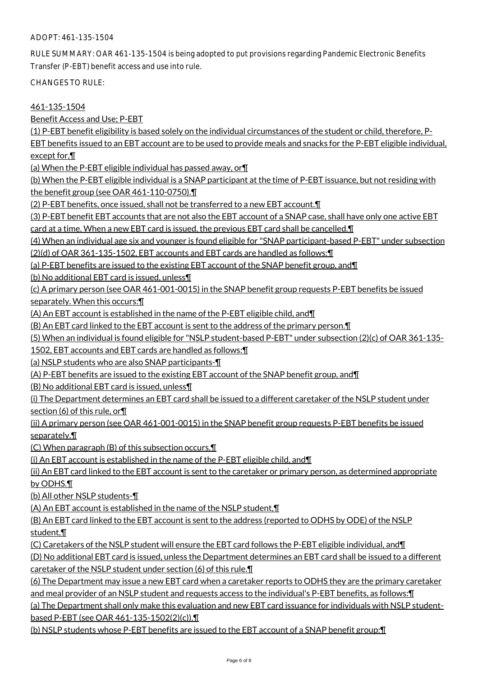RULE SUMMARY: OAR 461-135-1504 is being adopted to put provisions regarding Pandemic Electronic Benefits Transfer (P-EBT) benefit access and use into rule.

CHANGES TO RULE:

461-135-1504

Benefit Access and Use; P-EBT

(1) P-EBT benefit eligibility is based solely on the individual circumstances of the student or child, therefore, P-

EBT benefits issued to an EBT account are to be used to provide meals and snacks for the P-EBT eligible individual, except for,¶

(a) When the P-EBT eligible individual has passed away, or¶

(b) When the P-EBT eligible individual is a SNAP participant at the time of P-EBT issuance, but not residing with the benefit group (see OAR 461-110-0750).¶

(2) P-EBT benefits, once issued, shall not be transferred to a new EBT account.¶

(3) P-EBT benefit EBT accounts that are not also the EBT account of a SNAP case, shall have only one active EBT card at a time. When a new EBT card is issued, the previous EBT card shall be cancelled.¶

(4) When an individual age six and younger is found eligible for "SNAP participant-based P-EBT" under subsection

(2)(d) of OAR 361-135-1502, EBT accounts and EBT cards are handled as follows:¶

(a) P-EBT benefits are issued to the existing EBT account of the SNAP benefit group, and¶

(b) No additional EBT card is issued, unless¶

(c) A primary person (see OAR 461-001-0015) in the SNAP benefit group requests P-EBT benefits be issued separately. When this occurs:¶

(A) An EBT account is established in the name of the P-EBT eligible child, and¶

(B) An EBT card linked to the EBT account is sent to the address of the primary person.¶

(5) When an individual is found eligible for "NSLP student-based P-EBT" under subsection (2)(c) of OAR 361-135-

1502, EBT accounts and EBT cards are handled as follows:¶

(a) NSLP students who are also SNAP participants-¶

(A) P-EBT benefits are issued to the existing EBT account of the SNAP benefit group, and¶

(B) No additional EBT card is issued, unless¶

(i) The Department determines an EBT card shall be issued to a different caretaker of the NSLP student under section (6) of this rule, or¶

(ii) A primary person (see OAR 461-001-0015) in the SNAP benefit group requests P-EBT benefits be issued separately.¶

(C) When paragraph (B) of this subsection occurs,¶

(i) An EBT account is established in the name of the P-EBT eligible child, and¶

(ii) An EBT card linked to the EBT account is sent to the caretaker or primary person, as determined appropriate by ODHS.¶

(b) All other NSLP students-¶

(A) An EBT account is established in the name of the NSLP student,¶

(B) An EBT card linked to the EBT account is sent to the address (reported to ODHS by ODE) of the NSLP student,¶

(C) Caretakers of the NSLP student will ensure the EBT card follows the P-EBT eligible individual, and¶

(D) No additional EBT card is issued, unless the Department determines an EBT card shall be issued to a different caretaker of the NSLP student under section (6) of this rule.¶

(6) The Department may issue a new EBT card when a caretaker reports to ODHS they are the primary caretaker and meal provider of an NSLP student and requests access to the individual's P-EBT benefits, as follows:¶

(a) The Department shall only make this evaluation and new EBT card issuance for individuals with NSLP studentbased P-EBT (see OAR 461-135-1502(2)(c)).¶

(b) NSLP students whose P-EBT benefits are issued to the EBT account of a SNAP benefit group:¶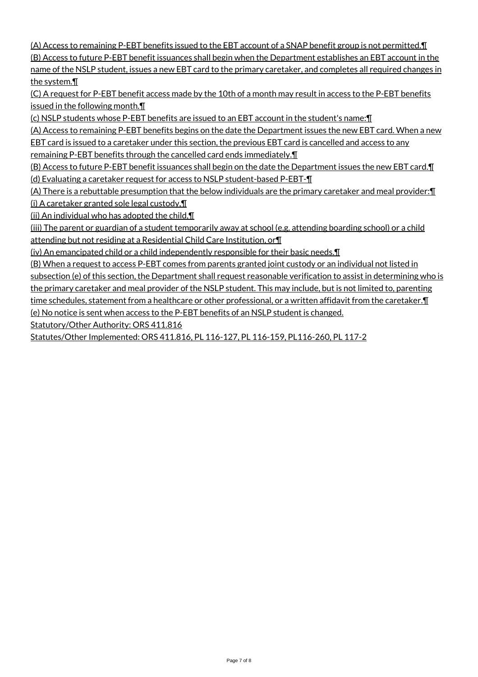(A) Access to remaining P-EBT benefits issued to the EBT account of a SNAP benefit group is not permitted.¶ (B) Access to future P-EBT benefit issuances shall begin when the Department establishes an EBT account in the name of the NSLP student, issues a new EBT card to the primary caretaker, and completes all required changes in the system.¶

(C) A request for P-EBT benefit access made by the 10th of a month may result in access to the P-EBT benefits issued in the following month.¶

(c) NSLP students whose P-EBT benefits are issued to an EBT account in the student's name:¶

(A) Access to remaining P-EBT benefits begins on the date the Department issues the new EBT card. When a new

EBT card is issued to a caretaker under this section, the previous EBT card is cancelled and access to any remaining P-EBT benefits through the cancelled card ends immediately.¶

(B) Access to future P-EBT benefit issuances shall begin on the date the Department issues the new EBT card.¶ (d) Evaluating a caretaker request for access to NSLP student-based P-EBT-¶

(A) There is a rebuttable presumption that the below individuals are the primary caretaker and meal provider:¶ (i) A caretaker granted sole legal custody,¶

(ii) An individual who has adopted the child,¶

(iii) The parent or guardian of a student temporarily away at school (e.g. attending boarding school) or a child attending but not residing at a Residential Child Care Institution, or¶

(iv) An emancipated child or a child independently responsible for their basic needs.¶

(B) When a request to access P-EBT comes from parents granted joint custody or an individual not listed in subsection (e) of this section, the Department shall request reasonable verification to assist in determining who is the primary caretaker and meal provider of the NSLP student. This may include, but is not limited to, parenting time schedules, statement from a healthcare or other professional, or a written affidavit from the caretaker. I (e) No notice is sent when access to the P-EBT benefits of an NSLP student is changed.

Statutory/Other Authority: ORS 411.816